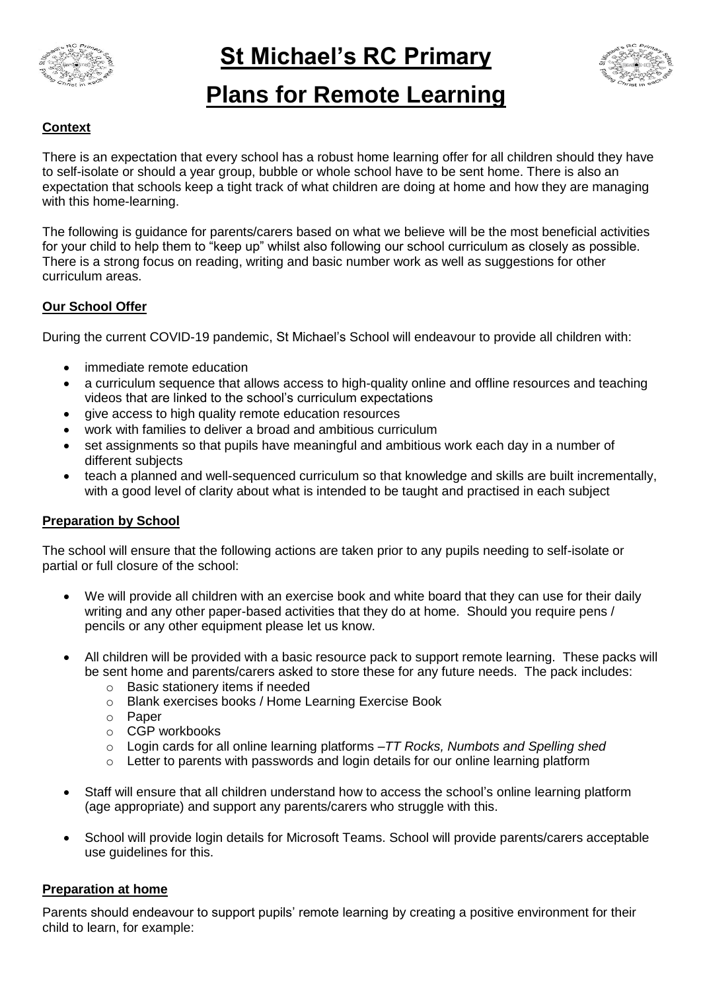

**St Michael's RC Primary**



# **Plans for Remote Learning**

## **Context**

There is an expectation that every school has a robust home learning offer for all children should they have to self-isolate or should a year group, bubble or whole school have to be sent home. There is also an expectation that schools keep a tight track of what children are doing at home and how they are managing with this home-learning.

The following is guidance for parents/carers based on what we believe will be the most beneficial activities for your child to help them to "keep up" whilst also following our school curriculum as closely as possible. There is a strong focus on reading, writing and basic number work as well as suggestions for other curriculum areas.

#### **Our School Offer**

During the current COVID-19 pandemic, St Michael's School will endeavour to provide all children with:

- immediate remote education
- a curriculum sequence that allows access to high-quality online and offline resources and teaching videos that are linked to the school's curriculum expectations
- give access to high quality remote education resources
- work with families to deliver a broad and ambitious curriculum
- set assignments so that pupils have meaningful and ambitious work each day in a number of different subjects
- teach a planned and well-sequenced curriculum so that knowledge and skills are built incrementally, with a good level of clarity about what is intended to be taught and practised in each subject

## **Preparation by School**

The school will ensure that the following actions are taken prior to any pupils needing to self-isolate or partial or full closure of the school:

- We will provide all children with an exercise book and white board that they can use for their daily writing and any other paper-based activities that they do at home. Should you require pens / pencils or any other equipment please let us know.
- All children will be provided with a basic resource pack to support remote learning. These packs will be sent home and parents/carers asked to store these for any future needs. The pack includes:
	- o Basic stationery items if needed
	- o Blank exercises books / Home Learning Exercise Book
	- o Paper
	- o CGP workbooks
	- o Login cards for all online learning platforms –*TT Rocks, Numbots and Spelling shed*
	- $\circ$  Letter to parents with passwords and login details for our online learning platform
- Staff will ensure that all children understand how to access the school's online learning platform (age appropriate) and support any parents/carers who struggle with this.
- School will provide login details for Microsoft Teams. School will provide parents/carers acceptable use guidelines for this.

#### **Preparation at home**

Parents should endeavour to support pupils' remote learning by creating a positive environment for their child to learn, for example: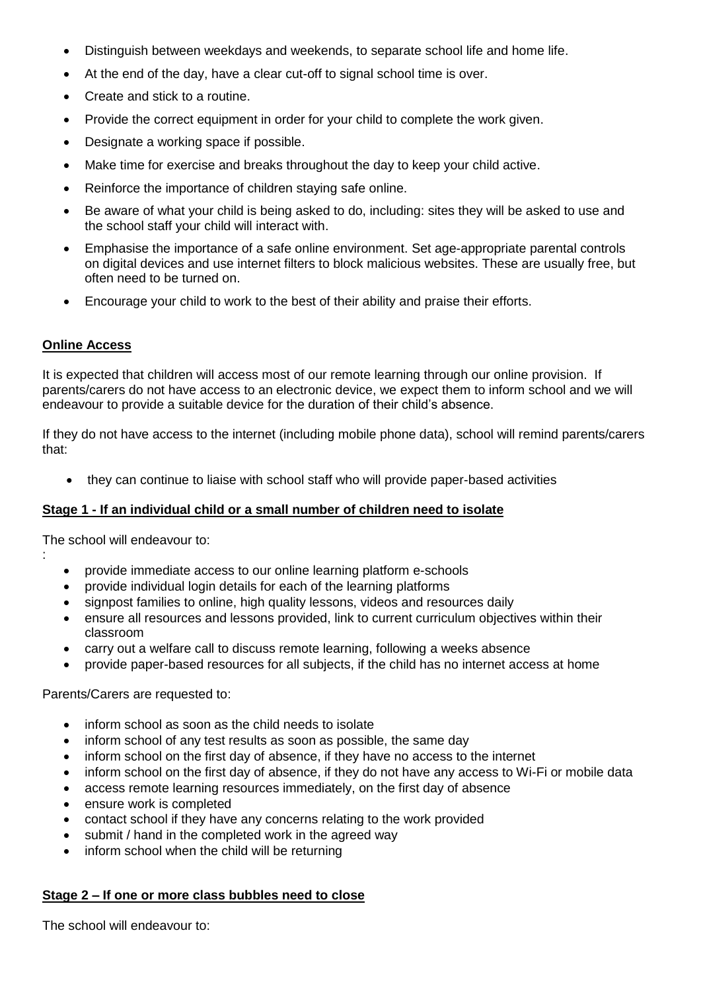- Distinguish between weekdays and weekends, to separate school life and home life.
- At the end of the day, have a clear cut-off to signal school time is over.
- Create and stick to a routine.
- Provide the correct equipment in order for your child to complete the work given.
- Designate a working space if possible.
- Make time for exercise and breaks throughout the day to keep your child active.
- Reinforce the importance of children staying safe online.
- Be aware of what your child is being asked to do, including: sites they will be asked to use and the school staff your child will interact with.
- Emphasise the importance of a safe online environment. Set age-appropriate parental controls on digital devices and use internet filters to block malicious websites. These are usually free, but often need to be turned on.
- Encourage your child to work to the best of their ability and praise their efforts.

#### **Online Access**

:

It is expected that children will access most of our remote learning through our online provision. If parents/carers do not have access to an electronic device, we expect them to inform school and we will endeavour to provide a suitable device for the duration of their child's absence.

If they do not have access to the internet (including mobile phone data), school will remind parents/carers that:

they can continue to liaise with school staff who will provide paper-based activities

#### **Stage 1 - If an individual child or a small number of children need to isolate**

The school will endeavour to:

- provide immediate access to our online learning platform e-schools
- provide individual login details for each of the learning platforms
- signpost families to online, high quality lessons, videos and resources daily
- ensure all resources and lessons provided, link to current curriculum objectives within their classroom
- carry out a welfare call to discuss remote learning, following a weeks absence
- provide paper-based resources for all subjects, if the child has no internet access at home

Parents/Carers are requested to:

- inform school as soon as the child needs to isolate
- inform school of any test results as soon as possible, the same day
- inform school on the first day of absence, if they have no access to the internet
- inform school on the first day of absence, if they do not have any access to Wi-Fi or mobile data
- access remote learning resources immediately, on the first day of absence
- ensure work is completed
- contact school if they have any concerns relating to the work provided
- submit / hand in the completed work in the agreed way
- inform school when the child will be returning

## **Stage 2 – If one or more class bubbles need to close**

The school will endeavour to: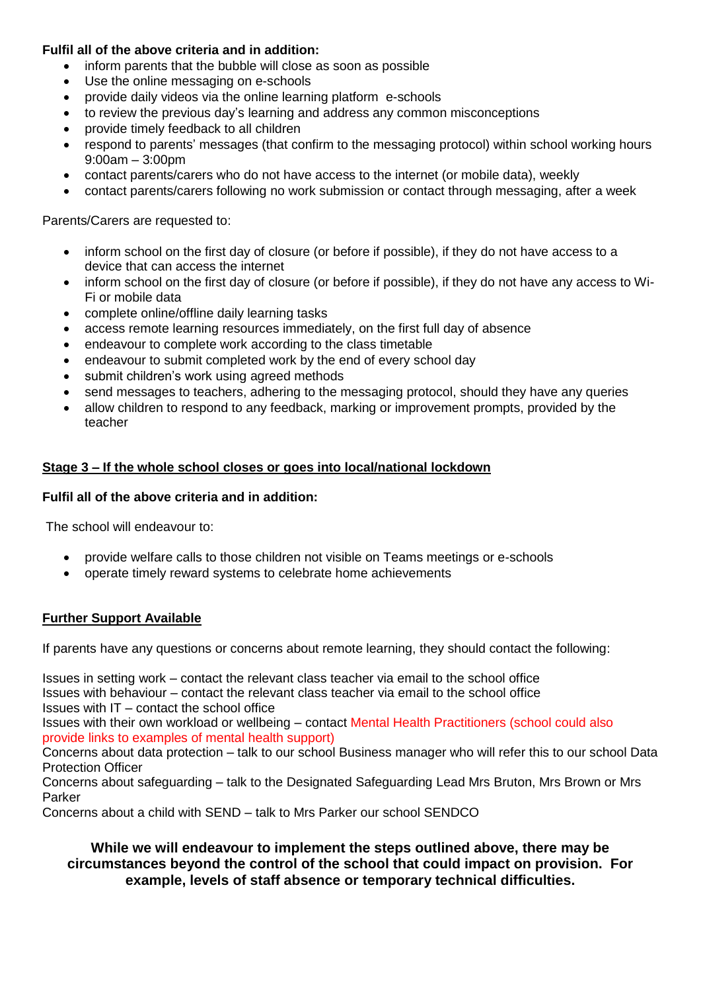## **Fulfil all of the above criteria and in addition:**

- inform parents that the bubble will close as soon as possible
- Use the online messaging on e-schools
- provide daily videos via the online learning platform e-schools
- to review the previous day's learning and address any common misconceptions
- provide timely feedback to all children
- respond to parents' messages (that confirm to the messaging protocol) within school working hours 9:00am – 3:00pm
- contact parents/carers who do not have access to the internet (or mobile data), weekly
- contact parents/carers following no work submission or contact through messaging, after a week

Parents/Carers are requested to:

- inform school on the first day of closure (or before if possible), if they do not have access to a device that can access the internet
- inform school on the first day of closure (or before if possible), if they do not have any access to Wi-Fi or mobile data
- complete online/offline daily learning tasks
- access remote learning resources immediately, on the first full day of absence
- endeavour to complete work according to the class timetable
- endeavour to submit completed work by the end of every school day
- submit children's work using agreed methods
- send messages to teachers, adhering to the messaging protocol, should they have any queries
- allow children to respond to any feedback, marking or improvement prompts, provided by the teacher

#### **Stage 3 – If the whole school closes or goes into local/national lockdown**

#### **Fulfil all of the above criteria and in addition:**

The school will endeavour to:

- provide welfare calls to those children not visible on Teams meetings or e-schools
- operate timely reward systems to celebrate home achievements

#### **Further Support Available**

If parents have any questions or concerns about remote learning, they should contact the following:

Issues in setting work – contact the relevant class teacher via email to the school office Issues with behaviour – contact the relevant class teacher via email to the school office Issues with IT – contact the school office

Issues with their own workload or wellbeing – contact Mental Health Practitioners (school could also provide links to examples of mental health support)

Concerns about data protection – talk to our school Business manager who will refer this to our school Data Protection Officer

Concerns about safeguarding – talk to the Designated Safeguarding Lead Mrs Bruton, Mrs Brown or Mrs Parker

Concerns about a child with SEND – talk to Mrs Parker our school SENDCO

**While we will endeavour to implement the steps outlined above, there may be circumstances beyond the control of the school that could impact on provision. For example, levels of staff absence or temporary technical difficulties.**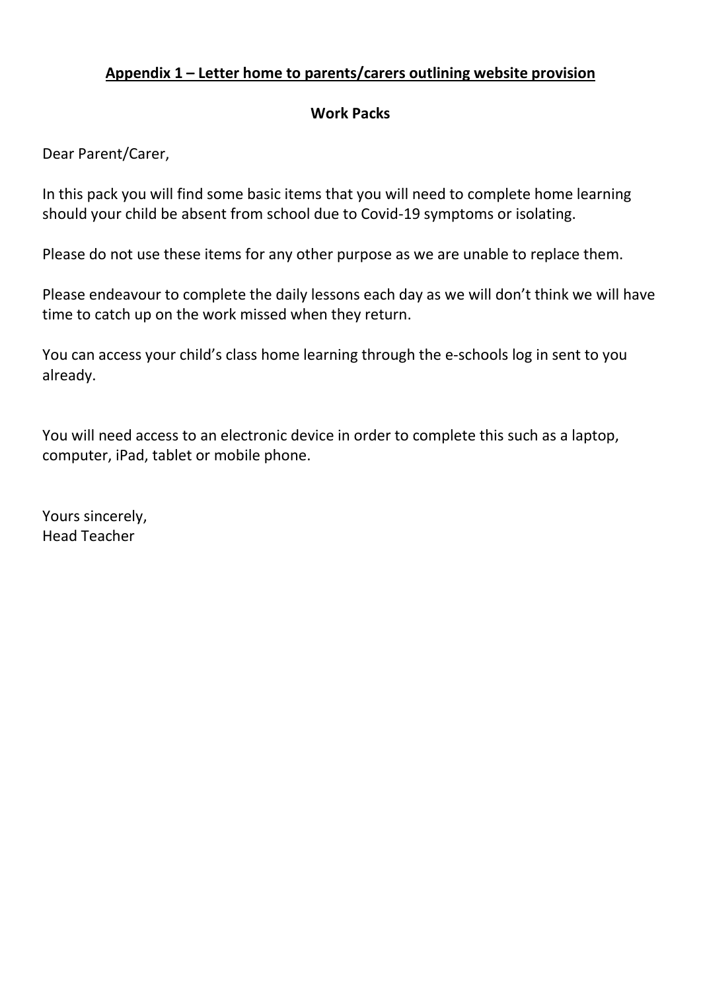# **Appendix 1 – Letter home to parents/carers outlining website provision**

## **Work Packs**

Dear Parent/Carer,

In this pack you will find some basic items that you will need to complete home learning should your child be absent from school due to Covid-19 symptoms or isolating.

Please do not use these items for any other purpose as we are unable to replace them.

Please endeavour to complete the daily lessons each day as we will don't think we will have time to catch up on the work missed when they return.

You can access your child's class home learning through the e-schools log in sent to you already.

You will need access to an electronic device in order to complete this such as a laptop, computer, iPad, tablet or mobile phone.

Yours sincerely, Head Teacher